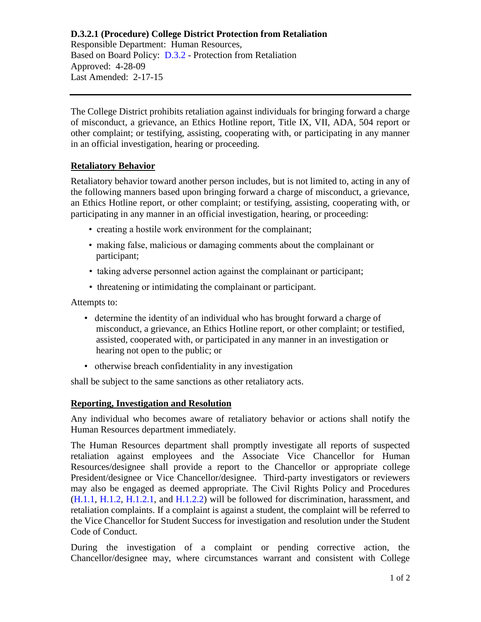# **D.3.2.1 (Procedure) College District Protection from Retaliation**

Responsible Department: Human Resources, Based on Board Policy: [D.3.2](https://www.alamo.edu/siteassets/district/about-us/leadership/board-of-trustees/policies-pdfs/section-d/d.3.2-policy.pdf) - Protection from Retaliation Approved: 4-28-09 Last Amended: 2-17-15

The College District prohibits retaliation against individuals for bringing forward a charge of misconduct, a grievance, an Ethics Hotline report, Title IX, VII, ADA, 504 report or other complaint; or testifying, assisting, cooperating with, or participating in any manner in an official investigation, hearing or proceeding.

#### **Retaliatory Behavior**

Retaliatory behavior toward another person includes, but is not limited to, acting in any of the following manners based upon bringing forward a charge of misconduct, a grievance, an Ethics Hotline report, or other complaint; or testifying, assisting, cooperating with, or participating in any manner in an official investigation, hearing, or proceeding:

- creating a hostile work environment for the complainant;
- making false, malicious or damaging comments about the complainant or participant;
- taking adverse personnel action against the complainant or participant;
- threatening or intimidating the complainant or participant.

Attempts to:

- determine the identity of an individual who has brought forward a charge of misconduct, a grievance, an Ethics Hotline report, or other complaint; or testified, assisted, cooperated with, or participated in any manner in an investigation or hearing not open to the public; or
- otherwise breach confidentiality in any investigation

shall be subject to the same sanctions as other retaliatory acts.

#### **Reporting, Investigation and Resolution**

Any individual who becomes aware of retaliatory behavior or actions shall notify the Human Resources department immediately.

The Human Resources department shall promptly investigate all reports of suspected retaliation against employees and the Associate Vice Chancellor for Human Resources/designee shall provide a report to the Chancellor or appropriate college President/designee or Vice Chancellor/designee. Third-party investigators or reviewers may also be engaged as deemed appropriate. The Civil Rights Policy and Procedures [\(H.1.1,](https://www.alamo.edu/siteassets/district/about-us/leadership/board-of-trustees/policies-pdfs/section-h/h.1.1-policy.pdf) [H.1.2,](https://www.alamo.edu/siteassets/district/about-us/leadership/board-of-trustees/policies-pdfs/section-h/h.1.2-policy.pdf) [H.1.2.1,](https://www.alamo.edu/siteassets/district/about-us/leadership/board-of-trustees/policies-pdfs/section-h/h.1.2.1-procedure.pdf) and [H.1.2.2\)](https://www.alamo.edu/siteassets/district/about-us/leadership/board-of-trustees/policies-pdfs/section-h/h.1.2.2-procedure.pdf) will be followed for discrimination, harassment, and retaliation complaints. If a complaint is against a student, the complaint will be referred to the Vice Chancellor for Student Success for investigation and resolution under the Student Code of Conduct.

During the investigation of a complaint or pending corrective action, the Chancellor/designee may, where circumstances warrant and consistent with College